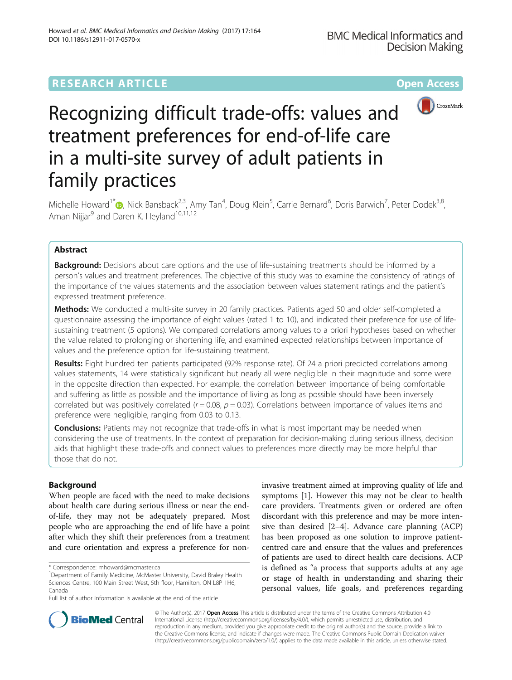# **RESEARCH ARTICLE External Structure Community Community Community Community Community Community Community Community**



# Recognizing difficult trade-offs: values and treatment preferences for end-of-life care in a multi-site survey of adult patients in family practices

Michelle Howard<sup>1[\\*](http://orcid.org/0000-0001-8127-5492)</sup> D, Nick Bansback<sup>2,3</sup>, Amy Tan<sup>4</sup>, Doug Klein<sup>5</sup>, Carrie Bernard<sup>6</sup>, Doris Barwich<sup>7</sup>, Peter Dodek<sup>3,8</sup>, Aman Nijjar<sup>9</sup> and Daren K. Heyland<sup>10,11,12</sup>

# Abstract

**Background:** Decisions about care options and the use of life-sustaining treatments should be informed by a person's values and treatment preferences. The objective of this study was to examine the consistency of ratings of the importance of the values statements and the association between values statement ratings and the patient's expressed treatment preference.

Methods: We conducted a multi-site survey in 20 family practices. Patients aged 50 and older self-completed a questionnaire assessing the importance of eight values (rated 1 to 10), and indicated their preference for use of lifesustaining treatment (5 options). We compared correlations among values to a priori hypotheses based on whether the value related to prolonging or shortening life, and examined expected relationships between importance of values and the preference option for life-sustaining treatment.

Results: Eight hundred ten patients participated (92% response rate). Of 24 a priori predicted correlations among values statements, 14 were statistically significant but nearly all were negligible in their magnitude and some were in the opposite direction than expected. For example, the correlation between importance of being comfortable and suffering as little as possible and the importance of living as long as possible should have been inversely correlated but was positively correlated ( $r = 0.08$ ,  $p = 0.03$ ). Correlations between importance of values items and preference were negligible, ranging from 0.03 to 0.13.

**Conclusions:** Patients may not recognize that trade-offs in what is most important may be needed when considering the use of treatments. In the context of preparation for decision-making during serious illness, decision aids that highlight these trade-offs and connect values to preferences more directly may be more helpful than those that do not.

# Background

When people are faced with the need to make decisions about health care during serious illness or near the endof-life, they may not be adequately prepared. Most people who are approaching the end of life have a point after which they shift their preferences from a treatment and cure orientation and express a preference for noninvasive treatment aimed at improving quality of life and symptoms [[1](#page-7-0)]. However this may not be clear to health care providers. Treatments given or ordered are often discordant with this preference and may be more intensive than desired [\[2](#page-7-0)–[4\]](#page-7-0). Advance care planning (ACP) has been proposed as one solution to improve patientcentred care and ensure that the values and preferences of patients are used to direct health care decisions. ACP is defined as "a process that supports adults at any age or stage of health in understanding and sharing their personal values, life goals, and preferences regarding



© The Author(s). 2017 **Open Access** This article is distributed under the terms of the Creative Commons Attribution 4.0 International License [\(http://creativecommons.org/licenses/by/4.0/](http://creativecommons.org/licenses/by/4.0/)), which permits unrestricted use, distribution, and reproduction in any medium, provided you give appropriate credit to the original author(s) and the source, provide a link to the Creative Commons license, and indicate if changes were made. The Creative Commons Public Domain Dedication waiver [\(http://creativecommons.org/publicdomain/zero/1.0/](http://creativecommons.org/publicdomain/zero/1.0/)) applies to the data made available in this article, unless otherwise stated.

<sup>\*</sup> Correspondence: [mhoward@mcmaster.ca](mailto:mhoward@mcmaster.ca) <sup>1</sup>

<sup>&</sup>lt;sup>1</sup>Department of Family Medicine, McMaster University, David Braley Health Sciences Centre, 100 Main Street West, 5th floor, Hamilton, ON L8P 1H6, Canada

Full list of author information is available at the end of the article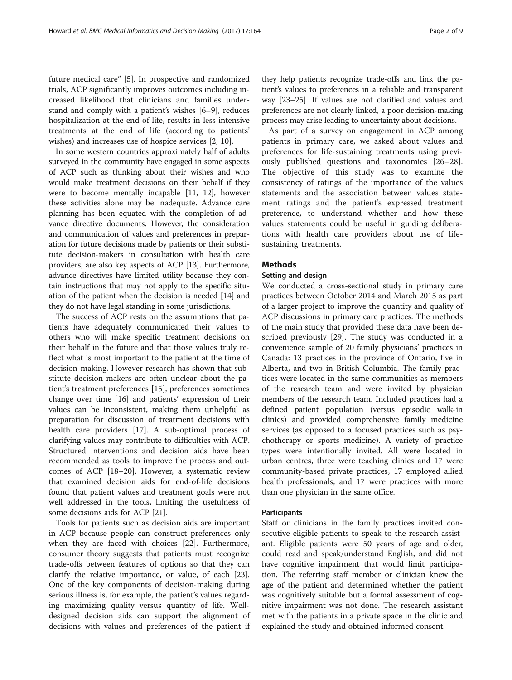future medical care" [\[5](#page-7-0)]. In prospective and randomized trials, ACP significantly improves outcomes including increased likelihood that clinicians and families understand and comply with a patient's wishes [[6](#page-7-0)–[9](#page-7-0)], reduces hospitalization at the end of life, results in less intensive treatments at the end of life (according to patients' wishes) and increases use of hospice services [[2](#page-7-0), [10](#page-7-0)].

In some western countries approximately half of adults surveyed in the community have engaged in some aspects of ACP such as thinking about their wishes and who would make treatment decisions on their behalf if they were to become mentally incapable [[11](#page-7-0), [12\]](#page-7-0), however these activities alone may be inadequate. Advance care planning has been equated with the completion of advance directive documents. However, the consideration and communication of values and preferences in preparation for future decisions made by patients or their substitute decision-makers in consultation with health care providers, are also key aspects of ACP [\[13\]](#page-7-0). Furthermore, advance directives have limited utility because they contain instructions that may not apply to the specific situation of the patient when the decision is needed [[14](#page-7-0)] and they do not have legal standing in some jurisdictions.

The success of ACP rests on the assumptions that patients have adequately communicated their values to others who will make specific treatment decisions on their behalf in the future and that those values truly reflect what is most important to the patient at the time of decision-making. However research has shown that substitute decision-makers are often unclear about the patient's treatment preferences [\[15](#page-7-0)], preferences sometimes change over time [\[16\]](#page-7-0) and patients' expression of their values can be inconsistent, making them unhelpful as preparation for discussion of treatment decisions with health care providers [[17](#page-7-0)]. A sub-optimal process of clarifying values may contribute to difficulties with ACP. Structured interventions and decision aids have been recommended as tools to improve the process and outcomes of ACP [\[18](#page-7-0)–[20\]](#page-7-0). However, a systematic review that examined decision aids for end-of-life decisions found that patient values and treatment goals were not well addressed in the tools, limiting the usefulness of some decisions aids for ACP [[21\]](#page-7-0).

Tools for patients such as decision aids are important in ACP because people can construct preferences only when they are faced with choices [\[22](#page-7-0)]. Furthermore, consumer theory suggests that patients must recognize trade-offs between features of options so that they can clarify the relative importance, or value, of each [\[23](#page-7-0)]. One of the key components of decision-making during serious illness is, for example, the patient's values regarding maximizing quality versus quantity of life. Welldesigned decision aids can support the alignment of decisions with values and preferences of the patient if they help patients recognize trade-offs and link the patient's values to preferences in a reliable and transparent way [\[23](#page-7-0)–[25](#page-7-0)]. If values are not clarified and values and preferences are not clearly linked, a poor decision-making process may arise leading to uncertainty about decisions.

As part of a survey on engagement in ACP among patients in primary care, we asked about values and preferences for life-sustaining treatments using previously published questions and taxonomies [\[26](#page-7-0)–[28](#page-7-0)]. The objective of this study was to examine the consistency of ratings of the importance of the values statements and the association between values statement ratings and the patient's expressed treatment preference, to understand whether and how these values statements could be useful in guiding deliberations with health care providers about use of lifesustaining treatments.

## Methods

# Setting and design

We conducted a cross-sectional study in primary care practices between October 2014 and March 2015 as part of a larger project to improve the quantity and quality of ACP discussions in primary care practices. The methods of the main study that provided these data have been described previously [[29\]](#page-7-0). The study was conducted in a convenience sample of 20 family physicians' practices in Canada: 13 practices in the province of Ontario, five in Alberta, and two in British Columbia. The family practices were located in the same communities as members of the research team and were invited by physician members of the research team. Included practices had a defined patient population (versus episodic walk-in clinics) and provided comprehensive family medicine services (as opposed to a focused practices such as psychotherapy or sports medicine). A variety of practice types were intentionally invited. All were located in urban centres, three were teaching clinics and 17 were community-based private practices, 17 employed allied health professionals, and 17 were practices with more than one physician in the same office.

#### Participants

Staff or clinicians in the family practices invited consecutive eligible patients to speak to the research assistant. Eligible patients were 50 years of age and older, could read and speak/understand English, and did not have cognitive impairment that would limit participation. The referring staff member or clinician knew the age of the patient and determined whether the patient was cognitively suitable but a formal assessment of cognitive impairment was not done. The research assistant met with the patients in a private space in the clinic and explained the study and obtained informed consent.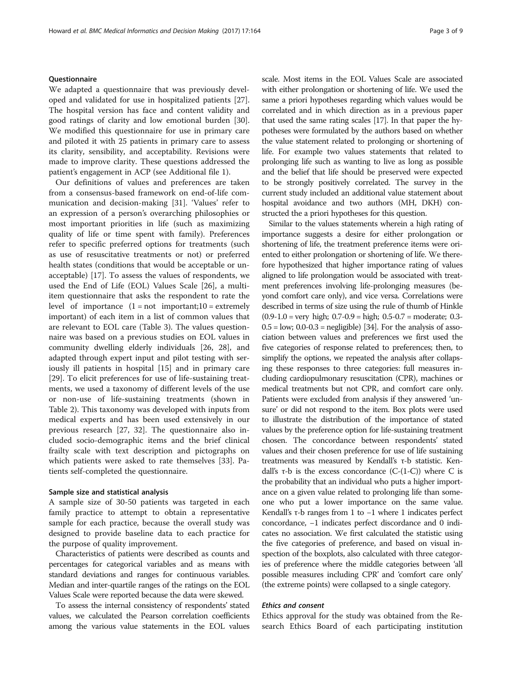# **Ouestionnaire**

We adapted a questionnaire that was previously developed and validated for use in hospitalized patients [\[27](#page-7-0)]. The hospital version has face and content validity and good ratings of clarity and low emotional burden [\[30](#page-7-0)]. We modified this questionnaire for use in primary care and piloted it with 25 patients in primary care to assess its clarity, sensibility, and acceptability. Revisions were made to improve clarity. These questions addressed the patient's engagement in ACP (see Additional file [1](#page-6-0)).

Our definitions of values and preferences are taken from a consensus-based framework on end-of-life communication and decision-making [\[31\]](#page-7-0). 'Values' refer to an expression of a person's overarching philosophies or most important priorities in life (such as maximizing quality of life or time spent with family). Preferences refer to specific preferred options for treatments (such as use of resuscitative treatments or not) or preferred health states (conditions that would be acceptable or unacceptable) [[17](#page-7-0)]. To assess the values of respondents, we used the End of Life (EOL) Values Scale [\[26](#page-7-0)], a multiitem questionnaire that asks the respondent to rate the level of importance  $(1 = not important; 10 = extremely)$ important) of each item in a list of common values that are relevant to EOL care (Table [3\)](#page-4-0). The values questionnaire was based on a previous studies on EOL values in community dwelling elderly individuals [\[26](#page-7-0), [28](#page-7-0)], and adapted through expert input and pilot testing with seriously ill patients in hospital [[15\]](#page-7-0) and in primary care [[29\]](#page-7-0). To elicit preferences for use of life-sustaining treatments, we used a taxonomy of different levels of the use or non-use of life-sustaining treatments (shown in Table [2\)](#page-4-0). This taxonomy was developed with inputs from medical experts and has been used extensively in our previous research [[27, 32\]](#page-7-0). The questionnaire also included socio-demographic items and the brief clinical frailty scale with text description and pictographs on which patients were asked to rate themselves [[33](#page-7-0)]. Patients self-completed the questionnaire.

#### Sample size and statistical analysis

A sample size of 30-50 patients was targeted in each family practice to attempt to obtain a representative sample for each practice, because the overall study was designed to provide baseline data to each practice for the purpose of quality improvement.

Characteristics of patients were described as counts and percentages for categorical variables and as means with standard deviations and ranges for continuous variables. Median and inter-quartile ranges of the ratings on the EOL Values Scale were reported because the data were skewed.

To assess the internal consistency of respondents' stated values, we calculated the Pearson correlation coefficients among the various value statements in the EOL values scale. Most items in the EOL Values Scale are associated with either prolongation or shortening of life. We used the same a priori hypotheses regarding which values would be correlated and in which direction as in a previous paper that used the same rating scales [\[17\]](#page-7-0). In that paper the hypotheses were formulated by the authors based on whether the value statement related to prolonging or shortening of life. For example two values statements that related to prolonging life such as wanting to live as long as possible and the belief that life should be preserved were expected to be strongly positively correlated. The survey in the current study included an additional value statement about hospital avoidance and two authors (MH, DKH) constructed the a priori hypotheses for this question.

Similar to the values statements wherein a high rating of importance suggests a desire for either prolongation or shortening of life, the treatment preference items were oriented to either prolongation or shortening of life. We therefore hypothesized that higher importance rating of values aligned to life prolongation would be associated with treatment preferences involving life-prolonging measures (beyond comfort care only), and vice versa. Correlations were described in terms of size using the rule of thumb of Hinkle  $(0.9-1.0)$  = very high;  $0.7-0.9$  = high;  $0.5-0.7$  = moderate; 0.3- $0.5 =$ low;  $0.0 - 0.3 =$ negligible) [\[34\]](#page-7-0). For the analysis of association between values and preferences we first used the five categories of response related to preferences; then, to simplify the options, we repeated the analysis after collapsing these responses to three categories: full measures including cardiopulmonary resuscitation (CPR), machines or medical treatments but not CPR, and comfort care only. Patients were excluded from analysis if they answered 'unsure' or did not respond to the item. Box plots were used to illustrate the distribution of the importance of stated values by the preference option for life-sustaining treatment chosen. The concordance between respondents' stated values and their chosen preference for use of life sustaining treatments was measured by Kendall's τ-b statistic. Kendall's τ-b is the excess concordance  $(C-(1-C))$  where C is the probability that an individual who puts a higher importance on a given value related to prolonging life than someone who put a lower importance on the same value. Kendall's τ-b ranges from 1 to −1 where 1 indicates perfect concordance, −1 indicates perfect discordance and 0 indicates no association. We first calculated the statistic using the five categories of preference, and based on visual inspection of the boxplots, also calculated with three categories of preference where the middle categories between 'all possible measures including CPR' and 'comfort care only' (the extreme points) were collapsed to a single category.

# Ethics and consent

Ethics approval for the study was obtained from the Research Ethics Board of each participating institution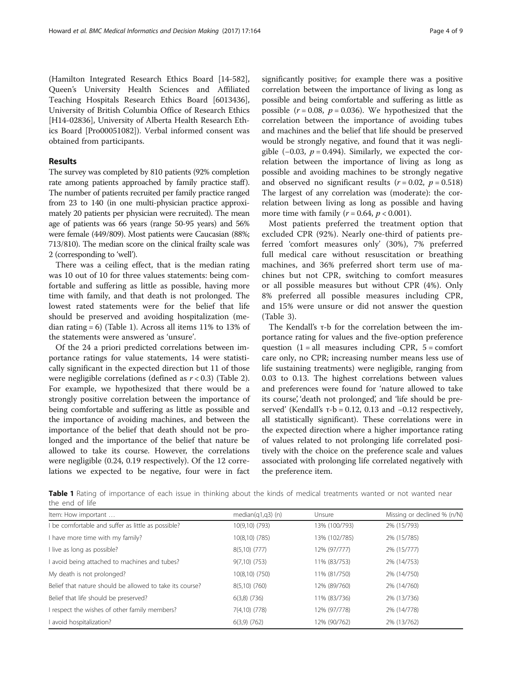(Hamilton Integrated Research Ethics Board [14-582], Queen's University Health Sciences and Affiliated Teaching Hospitals Research Ethics Board [6013436], University of British Columbia Office of Research Ethics [H14-02836], University of Alberta Health Research Ethics Board [Pro00051082]). Verbal informed consent was obtained from participants.

### Results

The survey was completed by 810 patients (92% completion rate among patients approached by family practice staff). The number of patients recruited per family practice ranged from 23 to 140 (in one multi-physician practice approximately 20 patients per physician were recruited). The mean age of patients was 66 years (range 50-95 years) and 56% were female (449/809). Most patients were Caucasian (88%; 713/810). The median score on the clinical frailty scale was 2 (corresponding to 'well').

There was a ceiling effect, that is the median rating was 10 out of 10 for three values statements: being comfortable and suffering as little as possible, having more time with family, and that death is not prolonged. The lowest rated statements were for the belief that life should be preserved and avoiding hospitalization (median rating = 6) (Table 1). Across all items 11% to 13% of the statements were answered as 'unsure'.

Of the 24 a priori predicted correlations between importance ratings for value statements, 14 were statistically significant in the expected direction but 11 of those were negligible correlations (defined as  $r < 0.3$ ) (Table [2](#page-4-0)). For example, we hypothesized that there would be a strongly positive correlation between the importance of being comfortable and suffering as little as possible and the importance of avoiding machines, and between the importance of the belief that death should not be prolonged and the importance of the belief that nature be allowed to take its course. However, the correlations were negligible (0.24, 0.19 respectively). Of the 12 correlations we expected to be negative, four were in fact

significantly positive; for example there was a positive correlation between the importance of living as long as possible and being comfortable and suffering as little as possible ( $r = 0.08$ ,  $p = 0.036$ ). We hypothesized that the correlation between the importance of avoiding tubes and machines and the belief that life should be preserved would be strongly negative, and found that it was negligible (−0.03,  $p = 0.494$ ). Similarly, we expected the correlation between the importance of living as long as possible and avoiding machines to be strongly negative and observed no significant results  $(r = 0.02, p = 0.518)$ The largest of any correlation was (moderate): the correlation between living as long as possible and having more time with family  $(r = 0.64, p < 0.001)$ .

Most patients preferred the treatment option that excluded CPR (92%). Nearly one-third of patients preferred 'comfort measures only' (30%), 7% preferred full medical care without resuscitation or breathing machines, and 36% preferred short term use of machines but not CPR, switching to comfort measures or all possible measures but without CPR (4%). Only 8% preferred all possible measures including CPR, and 15% were unsure or did not answer the question (Table [3\)](#page-4-0).

The Kendall's τ-b for the correlation between the importance rating for values and the five-option preference question  $(1 = all)$  measures including CPR,  $5 = \text{confort}$ care only, no CPR; increasing number means less use of life sustaining treatments) were negligible, ranging from 0.03 to 0.13. The highest correlations between values and preferences were found for 'nature allowed to take its course', 'death not prolonged', and 'life should be preserved' (Kendall's  $\tau$ -b = 0.12, 0.13 and -0.12 respectively, all statistically significant). These correlations were in the expected direction where a higher importance rating of values related to not prolonging life correlated positively with the choice on the preference scale and values associated with prolonging life correlated negatively with the preference item.

Table 1 Rating of importance of each issue in thinking about the kinds of medical treatments wanted or not wanted near the end of life

| Item: How important                                      | $median(q1,q3)$ (n) | Unsure        | Missing or declined % (n/N) |
|----------------------------------------------------------|---------------------|---------------|-----------------------------|
| be comfortable and suffer as little as possible?         | 10(9,10) (793)      | 13% (100/793) | 2% (15/793)                 |
| I have more time with my family?                         | 10(8,10) (785)      | 13% (102/785) | 2% (15/785)                 |
| I live as long as possible?                              | $8(5,10)$ (777)     | 12% (97/777)  | 2% (15/777)                 |
| avoid being attached to machines and tubes?              | $9(7,10)$ (753)     | 11% (83/753)  | 2% (14/753)                 |
| My death is not prolonged?                               | 10(8,10) (750)      | 11% (81/750)  | 2% (14/750)                 |
| Belief that nature should be allowed to take its course? | $8(5,10)$ (760)     | 12% (89/760)  | 2% (14/760)                 |
| Belief that life should be preserved?                    | $6(3,8)$ (736)      | 11% (83/736)  | 2% (13/736)                 |
| I respect the wishes of other family members?            | 7(4,10) (778)       | 12% (97/778)  | 2% (14/778)                 |
| avoid hospitalization?                                   | $6(3,9)$ (762)      | 12% (90/762)  | 2% (13/762)                 |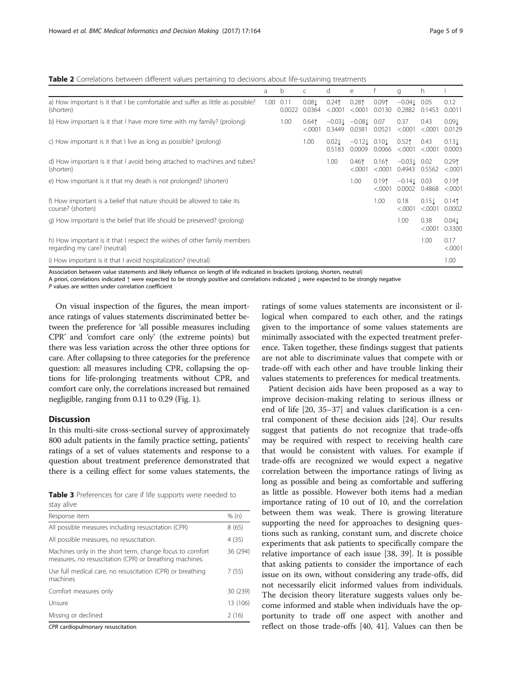<span id="page-4-0"></span>

| Table 2 Correlations between different values pertaining to decisions about life-sustaining treatments |  |  |
|--------------------------------------------------------------------------------------------------------|--|--|
|                                                                                                        |  |  |

|                                                                                                          | a    | b              | C                           | d                           | е                              |                     | g                        | h.               |                    |
|----------------------------------------------------------------------------------------------------------|------|----------------|-----------------------------|-----------------------------|--------------------------------|---------------------|--------------------------|------------------|--------------------|
| a) How important is it that I be comfortable and suffer as little as possible?<br>(shorten)              | 1.00 | 0.11<br>0.0022 | 0.08 <sub>L</sub><br>0.0364 | $0.24$ 1<br>< .0001         | 0.281<br>< .0001               | 0.091<br>0.0130     | $-0.04$ , 0.05<br>0.2882 | 0.1453           | 0.12<br>0.0011     |
| b) How important is it that I have more time with my family? (prolong)                                   |      | 1.00           | $0.64$ ↑<br>< .0001         | $-0.03L$<br>0.3449          | $-0.08$ $1$ 0.07<br>0.0381     | 0.0521              | 0.37<br>< .0001          | 0.43<br>< .0001  | 0.091<br>0.0129    |
| c) How important is it that I live as long as possible? (prolong)                                        |      |                | 1.00                        | 0.02 <sub>1</sub><br>0.5183 | $-0.12$ $0.10$ $\pm$<br>0.0009 | 0.0066              | $0.52$ 1<br>< .0001      | 0.43<br>< 0.0001 | 0.13L<br>0.0003    |
| d) How important is it that I avoid being attached to machines and tubes?<br>(shorten)                   |      |                |                             | 1.00                        | $0.46$ ↑<br>< 0001             | $0.16$ ↑<br>< .0001 | $-0.03$ , 0.02<br>0.4943 | 0.5562           | 0.291<br>< 0.0001  |
| e) How important is it that my death is not prolonged? (shorten)                                         |      |                |                             |                             | 1.00                           | 0.191<br>< .0001    | $-0.14$ , 0.03<br>0.0002 | 0.4868           | 0.191<br>< 0.0001  |
| f) How important is a belief that nature should be allowed to take its<br>course? (shorten)              |      |                |                             |                             |                                | 1.00                | 0.18<br>< .0001          | 0.15L<br>< .0001 | $0.14$ 1<br>0.0002 |
| g) How important is the belief that life should be preserved? (prolong)                                  |      |                |                             |                             |                                |                     | 1.00                     | 0.38<br>< 0.000  | 0.04L<br>0.3300    |
| h) How important is it that I respect the wishes of other family members<br>regarding my care? (neutral) |      |                |                             |                             |                                |                     |                          | 1.00             | 0.17<br>< .0001    |
| i) How important is it that I avoid hospitalization? (neutral)                                           |      |                |                             |                             |                                |                     |                          |                  | 1.00               |

Association between value statements and likely influence on length of life indicated in brackets (prolong, shorten, neutral)

A priori, correlations indicated ↑ were expected to be strongly positive and correlations indicated ↓ were expected to be strongly negative

P values are written under correlation coefficient

On visual inspection of the figures, the mean importance ratings of values statements discriminated better between the preference for 'all possible measures including CPR' and 'comfort care only' (the extreme points) but there was less variation across the other three options for care. After collapsing to three categories for the preference question: all measures including CPR, collapsing the options for life-prolonging treatments without CPR, and comfort care only, the correlations increased but remained negligible, ranging from 0.11 to 0.29 (Fig. [1](#page-5-0)).

# Discussion

In this multi-site cross-sectional survey of approximately 800 adult patients in the family practice setting, patients' ratings of a set of values statements and response to a question about treatment preference demonstrated that there is a ceiling effect for some values statements, the

|            | Table 3 Preferences for care if life supports were needed to |  |  |  |
|------------|--------------------------------------------------------------|--|--|--|
| stay alive |                                                              |  |  |  |

| Response item                                                                                                       | % (n)    |
|---------------------------------------------------------------------------------------------------------------------|----------|
| All possible measures including resuscitation (CPR)                                                                 | 8(65)    |
| All possible measures, no resuscitation.                                                                            | 4(35)    |
| Machines only in the short term, change focus to comfort<br>measures, no resuscitation (CPR) or breathing machines. | 36 (294) |
| Use full medical care, no resuscitation (CPR) or breathing<br>machines                                              | 7(55)    |
| Comfort measures only                                                                                               | 30 (239) |
| Unsure                                                                                                              | 13 (106) |
| Missing or declined                                                                                                 | 2(16)    |

CPR cardiopulmonary resuscitation

ratings of some values statements are inconsistent or illogical when compared to each other, and the ratings given to the importance of some values statements are minimally associated with the expected treatment preference. Taken together, these findings suggest that patients are not able to discriminate values that compete with or trade-off with each other and have trouble linking their values statements to preferences for medical treatments.

Patient decision aids have been proposed as a way to improve decision-making relating to serious illness or end of life [[20](#page-7-0), [35](#page-7-0)–[37\]](#page-7-0) and values clarification is a central component of these decision aids [[24](#page-7-0)]. Our results suggest that patients do not recognize that trade-offs may be required with respect to receiving health care that would be consistent with values. For example if trade-offs are recognized we would expect a negative correlation between the importance ratings of living as long as possible and being as comfortable and suffering as little as possible. However both items had a median importance rating of 10 out of 10, and the correlation between them was weak. There is growing literature supporting the need for approaches to designing questions such as ranking, constant sum, and discrete choice experiments that ask patients to specifically compare the relative importance of each issue [\[38](#page-7-0), [39](#page-8-0)]. It is possible that asking patients to consider the importance of each issue on its own, without considering any trade-offs, did not necessarily elicit informed values from individuals. The decision theory literature suggests values only become informed and stable when individuals have the opportunity to trade off one aspect with another and reflect on those trade-offs [[40, 41\]](#page-8-0). Values can then be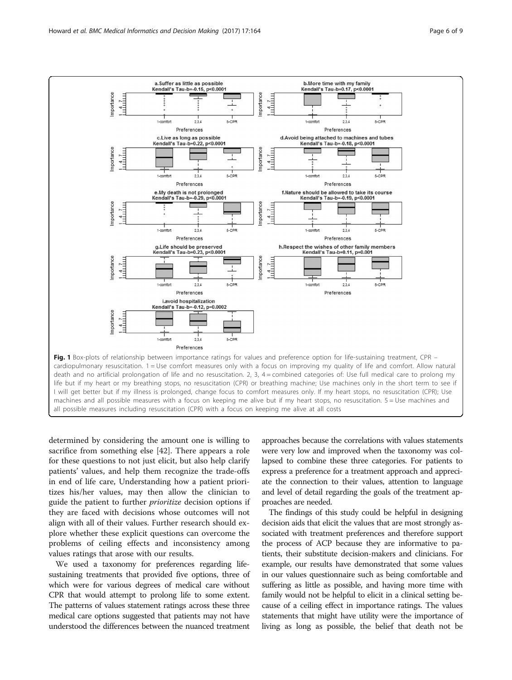<span id="page-5-0"></span>

determined by considering the amount one is willing to sacrifice from something else [\[42\]](#page-8-0). There appears a role for these questions to not just elicit, but also help clarify patients' values, and help them recognize the trade-offs in end of life care, Understanding how a patient prioritizes his/her values, may then allow the clinician to guide the patient to further prioritize decision options if they are faced with decisions whose outcomes will not align with all of their values. Further research should explore whether these explicit questions can overcome the problems of ceiling effects and inconsistency among values ratings that arose with our results.

We used a taxonomy for preferences regarding lifesustaining treatments that provided five options, three of which were for various degrees of medical care without CPR that would attempt to prolong life to some extent. The patterns of values statement ratings across these three medical care options suggested that patients may not have understood the differences between the nuanced treatment

approaches because the correlations with values statements were very low and improved when the taxonomy was collapsed to combine these three categories. For patients to express a preference for a treatment approach and appreciate the connection to their values, attention to language and level of detail regarding the goals of the treatment approaches are needed.

The findings of this study could be helpful in designing decision aids that elicit the values that are most strongly associated with treatment preferences and therefore support the process of ACP because they are informative to patients, their substitute decision-makers and clinicians. For example, our results have demonstrated that some values in our values questionnaire such as being comfortable and suffering as little as possible, and having more time with family would not be helpful to elicit in a clinical setting because of a ceiling effect in importance ratings. The values statements that might have utility were the importance of living as long as possible, the belief that death not be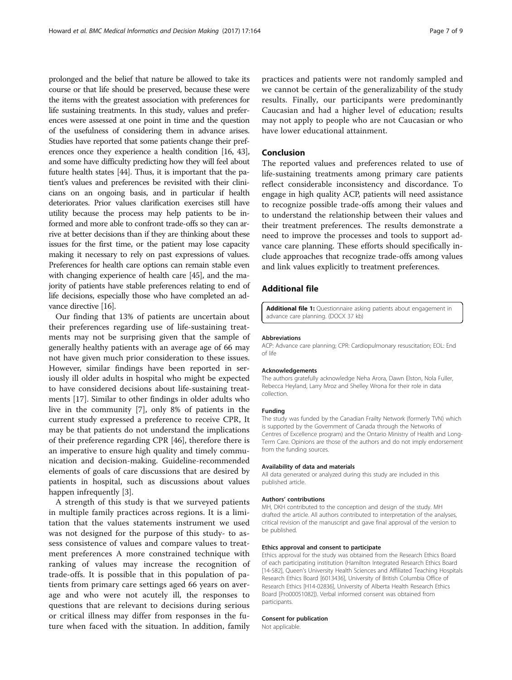<span id="page-6-0"></span>prolonged and the belief that nature be allowed to take its course or that life should be preserved, because these were the items with the greatest association with preferences for life sustaining treatments. In this study, values and preferences were assessed at one point in time and the question of the usefulness of considering them in advance arises. Studies have reported that some patients change their preferences once they experience a health condition [\[16,](#page-7-0) [43](#page-8-0)], and some have difficulty predicting how they will feel about future health states [\[44\]](#page-8-0). Thus, it is important that the patient's values and preferences be revisited with their clinicians on an ongoing basis, and in particular if health deteriorates. Prior values clarification exercises still have utility because the process may help patients to be informed and more able to confront trade-offs so they can arrive at better decisions than if they are thinking about these issues for the first time, or the patient may lose capacity making it necessary to rely on past expressions of values. Preferences for health care options can remain stable even with changing experience of health care [\[45](#page-8-0)], and the majority of patients have stable preferences relating to end of life decisions, especially those who have completed an advance directive [\[16\]](#page-7-0).

Our finding that 13% of patients are uncertain about their preferences regarding use of life-sustaining treatments may not be surprising given that the sample of generally healthy patients with an average age of 66 may not have given much prior consideration to these issues. However, similar findings have been reported in seriously ill older adults in hospital who might be expected to have considered decisions about life-sustaining treatments [\[17\]](#page-7-0). Similar to other findings in older adults who live in the community [[7\]](#page-7-0), only 8% of patients in the current study expressed a preference to receive CPR, It may be that patients do not understand the implications of their preference regarding CPR [[46\]](#page-8-0), therefore there is an imperative to ensure high quality and timely communication and decision-making. Guideline-recommended elements of goals of care discussions that are desired by patients in hospital, such as discussions about values happen infrequently [\[3\]](#page-7-0).

A strength of this study is that we surveyed patients in multiple family practices across regions. It is a limitation that the values statements instrument we used was not designed for the purpose of this study- to assess consistence of values and compare values to treatment preferences A more constrained technique with ranking of values may increase the recognition of trade-offs. It is possible that in this population of patients from primary care settings aged 66 years on average and who were not acutely ill, the responses to questions that are relevant to decisions during serious or critical illness may differ from responses in the future when faced with the situation. In addition, family practices and patients were not randomly sampled and we cannot be certain of the generalizability of the study results. Finally, our participants were predominantly Caucasian and had a higher level of education; results may not apply to people who are not Caucasian or who have lower educational attainment.

# Conclusion

The reported values and preferences related to use of life-sustaining treatments among primary care patients reflect considerable inconsistency and discordance. To engage in high quality ACP, patients will need assistance to recognize possible trade-offs among their values and to understand the relationship between their values and their treatment preferences. The results demonstrate a need to improve the processes and tools to support advance care planning. These efforts should specifically include approaches that recognize trade-offs among values and link values explicitly to treatment preferences.

# Additional file

[Additional file 1:](dx.doi.org/10.1186/s12911-017-0570-x) Questionnaire asking patients about engagement in advance care planning. (DOCX 37 kb)

#### Abbreviations

ACP: Advance care planning; CPR: Cardiopulmonary resuscitation; EOL: End of life

#### Acknowledgements

The authors gratefully acknowledge Neha Arora, Dawn Elston, Nola Fuller, Rebecca Heyland, Larry Mroz and Shelley Wrona for their role in data collection.

#### Funding

The study was funded by the Canadian Frailty Network (formerly TVN) which is supported by the Government of Canada through the Networks of Centres of Excellence program) and the Ontario Ministry of Health and Long-Term Care. Opinions are those of the authors and do not imply endorsement from the funding sources.

#### Availability of data and materials

All data generated or analyzed during this study are included in this published article.

#### Authors' contributions

MH, DKH contributed to the conception and design of the study. MH drafted the article. All authors contributed to interpretation of the analyses, critical revision of the manuscript and gave final approval of the version to be published.

#### Ethics approval and consent to participate

Ethics approval for the study was obtained from the Research Ethics Board of each participating institution (Hamilton Integrated Research Ethics Board [14-582], Queen's University Health Sciences and Affiliated Teaching Hospitals Research Ethics Board [6013436], University of British Columbia Office of Research Ethics [H14-02836], University of Alberta Health Research Ethics Board [Pro00051082]). Verbal informed consent was obtained from participants.

#### Consent for publication

Not applicable.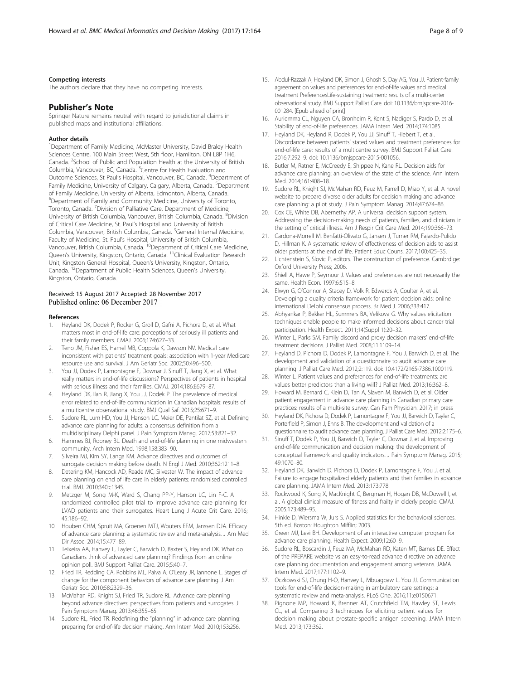#### <span id="page-7-0"></span>Competing interests

The authors declare that they have no competing interests.

#### Publisher's Note

Springer Nature remains neutral with regard to jurisdictional claims in published maps and institutional affiliations.

#### Author details

<sup>1</sup>Department of Family Medicine, McMaster University, David Braley Health Sciences Centre, 100 Main Street West, 5th floor, Hamilton, ON L8P 1H6, Canada. <sup>2</sup>School of Public and Population Health at the University of British Columbia, Vancouver, BC, Canada. <sup>3</sup>Centre for Health Evaluation and Outcome Sciences, St Paul's Hospital, Vancouver, BC, Canada. <sup>4</sup>Department of Family Medicine, University of Calgary, Calgary, Alberta, Canada. <sup>5</sup>Department of Family Medicine, University of Alberta, Edmonton, Alberta, Canada. 6 Department of Family and Community Medicine, University of Toronto, Toronto, Canada. <sup>7</sup> Division of Palliative Care, Department of Medicine, University of British Columbia, Vancouver, British Columbia, Canada. <sup>8</sup>Division of Critical Care Medicine, St. Paul's Hospital and University of British Columbia, Vancouver, British Columbia, Canada. <sup>9</sup>General Internal Medicine, Faculty of Medicine, St. Paul's Hospital, University of British Columbia, Vancouver, British Columbia, Canada. <sup>10</sup>Department of Critical Care Medicine, Queen's University, Kingston, Ontario, Canada. <sup>11</sup>Clinical Evaluation Research Unit, Kingston General Hospital, Queen's University, Kingston, Ontario, Canada. <sup>12</sup>Department of Public Health Sciences, Queen's University, Kingston, Ontario, Canada.

# Received: 15 August 2017 Accepted: 28 November 2017

#### References

- 1. Heyland DK, Dodek P, Rocker G, Groll D, Gafni A, Pichora D, et al. What matters most in end-of-life care: perceptions of seriously ill patients and their family members. CMAJ. 2006;174:627–33.
- 2. Teno JM, Fisher ES, Hamel MB, Coppola K, Dawson NV. Medical care inconsistent with patients' treatment goals: association with 1-year Medicare resource use and survival. J Am Geriatr Soc. 2002;50:496–500.
- 3. You JJ, Dodek P, Lamontagne F, Downar J, Sinuff T, Jiang X, et al. What really matters in end-of-life discussions? Perspectives of patients in hospital with serious illness and their families. CMAJ. 2014;186:E679–87.
- 4. Heyland DK, Ilan R, Jiang X, You JJ, Dodek P. The prevalence of medical error related to end-of-life communication in Canadian hospitals: results of a multicentre observational study. BMJ Qual Saf. 2015;25:671–9.
- 5. Sudore RL, Lum HD, You JJ, Hanson LC, Meier DE, Pantilat SZ, et al. Defining advance care planning for adults: a consensus definition from a multidisciplinary Delphi panel. J Pain Symptom Manag. 2017;53:821–32.
- 6. Hammes BJ, Rooney BL. Death and end-of-life planning in one midwestern community. Arch Intern Med. 1998;158:383–90.
- 7. Silveira MJ, Kim SY, Langa KM. Advance directives and outcomes of surrogate decision making before death. N Engl J Med. 2010;362:1211–8.
- 8. Detering KM, Hancock AD, Reade MC, Silvester W. The impact of advance care planning on end of life care in elderly patients: randomised controlled trial. BMJ. 2010;340:c1345.
- 9. Metzger M, Song M-K, Ward S, Chang PP-Y, Hanson LC, Lin F-C. A randomized controlled pilot trial to improve advance care planning for LVAD patients and their surrogates. Heart Lung J Acute Crit Care. 2016; 45:186–92.
- 10. Houben CHM, Spruit MA, Groenen MTJ, Wouters EFM, Janssen DJA. Efficacy of advance care planning: a systematic review and meta-analysis. J Am Med Dir Assoc. 2014;15:477–89.
- 11. Teixeira AA, Hanvey L, Tayler C, Barwich D, Baxter S, Heyland DK. What do Canadians think of advanced care planning? Findings from an online opinion poll. BMJ Support Palliat Care. 2015;5:40–7.
- 12. Fried TR, Redding CA, Robbins ML, Paiva A, O'Leary JR, Iannone L. Stages of change for the component behaviors of advance care planning. J Am Geriatr Soc. 2010;58:2329–36.
- 13. McMahan RD, Knight SJ, Fried TR, Sudore RL. Advance care planning beyond advance directives: perspectives from patients and surrogates. J Pain Symptom Manag. 2013;46:355–65.
- 14. Sudore RL, Fried TR. Redefining the "planning" in advance care planning: preparing for end-of-life decision making. Ann Intern Med. 2010;153:256.
- 15. Abdul-Razzak A, Heyland DK, Simon J, Ghosh S, Day AG, You JJ. Patient-family agreement on values and preferences for end-of-life values and medical treatment PreferencesLife-sustaining treatment: results of a multi-center observational study. BMJ Support Palliat Care. doi: [10.1136/bmjspcare-2016-](http://dx.doi.org/10.1136/bmjspcare-2016-001284) [001284.](http://dx.doi.org/10.1136/bmjspcare-2016-001284) [Epub ahead of print]
- 16. Auriemma CL, Nguyen CA, Bronheim R, Kent S, Nadiger S, Pardo D, et al. Stability of end-of-life preferences. JAMA Intern Med. 2014;174:1085.
- 17. Heyland DK, Heyland R, Dodek P, You JJ, Sinuff T, Hiebert T, et al. Discordance between patients' stated values and treatment preferences for end-of-life care: results of a multicentre survey. BMJ Support Palliat Care. 2016;7:292–9. doi: [10.1136/bmjspcare-2015-001056.](http://dx.doi.org/10.1136/bmjspcare-2015-001056)
- 18. Butler M, Ratner E, McCreedy E, Shippee N, Kane RL. Decision aids for advance care planning: an overview of the state of the science. Ann Intern Med. 2014;161:408–18.
- 19. Sudore RL, Knight SJ, McMahan RD, Feuz M, Farrell D, Miao Y, et al. A novel website to prepare diverse older adults for decision making and advance care planning: a pilot study. J Pain Symptom Manag. 2014;47:674–86.
- 20. Cox CE, White DB, Abernethy AP. A universal decision support system. Addressing the decision-making needs of patients, families, and clinicians in the setting of critical illness. Am J Respir Crit Care Med. 2014;190:366–73.
- 21. Cardona-Morrell M, Benfatti-Olivato G, Jansen J, Turner RM, Fajardo-Pulido D, Hillman K. A systematic review of effectiveness of decision aids to assist older patients at the end of life. Patient Educ Couns. 2017;100:425–35.
- 22. Lichtenstein S, Slovic P, editors. The construction of preference. Cambrdige: Oxford University Press; 2006.
- 23. Shiell A, Hawe P, Seymour J. Values and preferences are not necessarily the same. Health Econ. 1997;6:515–8.
- 24. Elwyn G, O'Connor A, Stacey D, Volk R, Edwards A, Coulter A, et al. Developing a quality criteria framework for patient decision aids: online international Delphi consensus process. Br Med J. 2006;333:417.
- 25. Abhyankar P, Bekker HL, Summers BA, Velikova G. Why values elicitation techniques enable people to make informed decisions about cancer trial participation. Health Expect. 2011;14(Suppl 1):20–32.
- 26. Winter L, Parks SM. Family discord and proxy decision makers' end-of-life treatment decisions. J Palliat Med. 2008;11:1109–14.
- 27. Heyland D, Pichora D, Dodek P, Lamontagne F, You J, Barwich D, et al. The development and validation of a questionnaire to audit advance care planning. J Palliat Care Med. 2012;2:119. doi: [10.4172/2165-7386.1000119](http://dx.doi.org/10.4172/2165-7386.1000119).
- 28. Winter L. Patient values and preferences for end-of-life treatments: are values better predictors than a living will? J Palliat Med. 2013;16:362–8.
- 29. Howard M, Bernard C, Klein D, Tan A, Slaven M, Barwich D, et al. Older patient engagement in advance care planning in Canadian primary care practices: results of a multi-site survey. Can Fam Physician. 2017; in press
- 30. Heyland DK, Pichora D, Dodek P, Lamontagne F, You JJ, Barwich D, Tayler C, Porterfield P, Simon J, Enns B. The development and validation of a questionnaire to audit advance care planning. J Palliat Care Med. 2012;2:175–6.
- 31. Sinuff T, Dodek P, You JJ, Barwich D, Tayler C, Downar J, et al. Improving end-of-life communication and decision making: the development of conceptual framework and quality indicators. J Pain Symptom Manag. 2015; 49:1070–80.
- 32. Heyland DK, Barwich D, Pichora D, Dodek P, Lamontagne F, You J, et al. Failure to engage hospitalized elderly patients and their families in advance care planning. JAMA Intern Med. 2013;173:778.
- 33. Rockwood K, Song X, MacKnight C, Bergman H, Hogan DB, McDowell I, et al. A global clinical measure of fitness and frailty in elderly people. CMAJ. 2005;173:489–95.
- 34. Hinkle D, Wiersma W, Jurs S. Applied statistics for the behavioral sciences. 5th ed. Boston: Houghton Mifflin; 2003.
- 35. Green MJ, Levi BH. Development of an interactive computer program for advance care planning. Health Expect. 2009;12:60–9.
- 36. Sudore RL, Boscardin J, Feuz MA, McMahan RD, Katen MT, Barnes DE. Effect of the PREPARE website vs an easy-to-read advance directive on advance care planning documentation and engagement among veterans. JAMA Intern Med. 2017;177:1102–9.
- 37. Oczkowski SJ, Chung H-O, Hanvey L, Mbuagbaw L, You JJ. Communication tools for end-of-life decision-making in ambulatory care settings: a systematic review and meta-analysis. PLoS One. 2016;11:e0150671.
- 38. Pignone MP, Howard K, Brenner AT, Crutchfield TM, Hawley ST, Lewis CL, et al. Comparing 3 techniques for eliciting patient values for decision making about prostate-specific antigen screening. JAMA Intern Med. 2013;173:362.